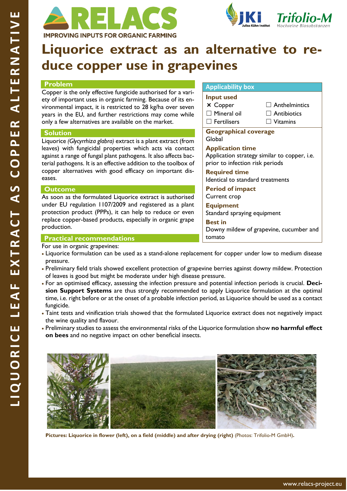



# **Liquorice extract as an alternative to reduce copper use in grapevines**

### **Problem**

Copper is the only effective fungicide authorised for a variety of important uses in organic farming. Because of its environmental impact, it is restricted to 28 kg/ha over seven years in the EU, and further restrictions may come while only a few alternatives are available on the market.

### **Solution**

Liquorice *(Glycyrrhiza glabra)* extract is a plant extract (from leaves) with fungicidal properties which acts via contact against a range of fungal plant pathogens. It also affects bacterial pathogens. It is an effective addition to the toolbox of copper alternatives with good efficacy on important diseases.

## **Outcome**

As soon as the formulated Liquorice extract is authorised under EU regulation 1107/2009 and registered as a plant protection product (PPPs), it can help to reduce or even replace copper-based products, especially in organic grape production.

## **Practical recommendations**

For use in organic grapevines:

- Liquorice formulation can be used as a stand-alone replacement for copper under low to medium disease pressure.
- Preliminary field trials showed excellent protection of grapevine berries against downy mildew. Protection of leaves is good but might be moderate under high disease pressure.
- For an optimised efficacy, assessing the infection pressure and potential infection periods is crucial. **Decision Support Systems** are thus strongly recommended to apply Liquorice formulation at the optimal time, i.e. right before or at the onset of a probable infection period, as Liquorice should be used as a contact fungicide.
- Taint tests and vinification trials showed that the formulated Liquorice extract does not negatively impact the wine quality and flavour.
- Preliminary studies to assess the environmental risks of the Liquorice formulation show **no harmful effect on bees** and no negative impact on other beneficial insects.



**Pictures: Liquorice in flower (left), on a field (middle) and after drying (right)** (Photos: Trifolio-M GmbH)**.**

## **Applicability box**

## **Input used**

- × Copper □ Mineral oil
- ☐ Fertilisers
- $\Box$  Anthelmintics
- $\Box$  Antibiotics
	- ☐ Vitamins

**Geographical coverage**  Global

## **Application time**

Application strategy similar to copper, i.e. prior to infection risk periods

## **Required time**

Identical to standard treatments

**Period of impact** Current crop

## **Equipment**

Standard spraying equipment

**Best in** Downy mildew of grapevine, cucumber and tomato